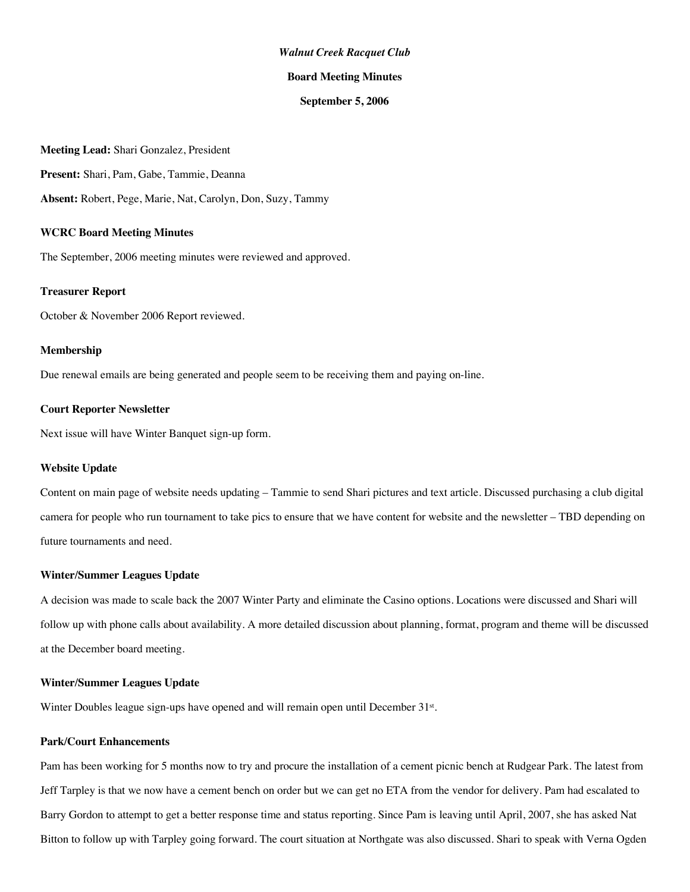#### *Walnut Creek Racquet Club*

#### **Board Meeting Minutes**

#### **September 5, 2006**

**Meeting Lead:** Shari Gonzalez, President **Present:** Shari, Pam, Gabe, Tammie, Deanna **Absent:** Robert, Pege, Marie, Nat, Carolyn, Don, Suzy, Tammy

#### **WCRC Board Meeting Minutes**

The September, 2006 meeting minutes were reviewed and approved.

# **Treasurer Report**

October & November 2006 Report reviewed.

#### **Membership**

Due renewal emails are being generated and people seem to be receiving them and paying on-line.

## **Court Reporter Newsletter**

Next issue will have Winter Banquet sign-up form.

## **Website Update**

Content on main page of website needs updating – Tammie to send Shari pictures and text article. Discussed purchasing a club digital camera for people who run tournament to take pics to ensure that we have content for website and the newsletter – TBD depending on future tournaments and need.

## **Winter/Summer Leagues Update**

A decision was made to scale back the 2007 Winter Party and eliminate the Casino options. Locations were discussed and Shari will follow up with phone calls about availability. A more detailed discussion about planning, format, program and theme will be discussed at the December board meeting.

#### **Winter/Summer Leagues Update**

Winter Doubles league sign-ups have opened and will remain open until December 31<sup>st</sup>.

# **Park/Court Enhancements**

Pam has been working for 5 months now to try and procure the installation of a cement picnic bench at Rudgear Park. The latest from Jeff Tarpley is that we now have a cement bench on order but we can get no ETA from the vendor for delivery. Pam had escalated to Barry Gordon to attempt to get a better response time and status reporting. Since Pam is leaving until April, 2007, she has asked Nat Bitton to follow up with Tarpley going forward. The court situation at Northgate was also discussed. Shari to speak with Verna Ogden